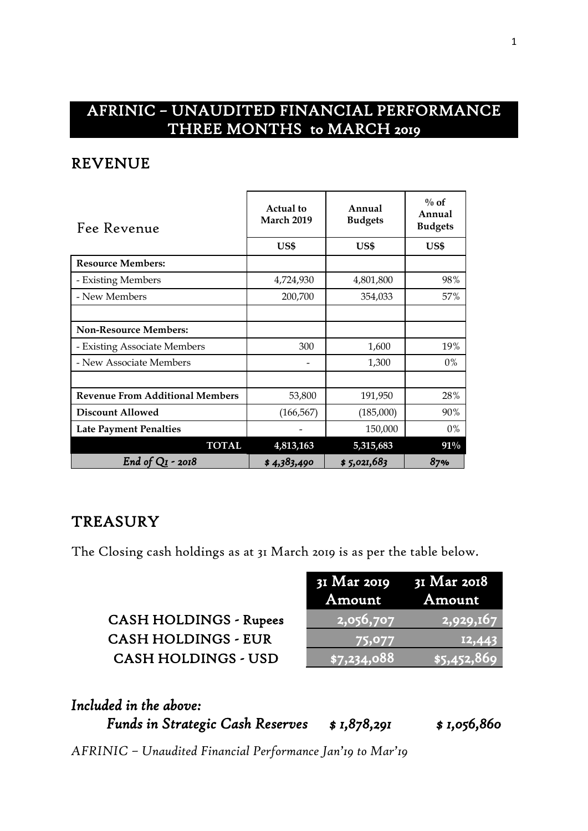# AFRINIC – UNAUDITED FINANCIAL PERFORMANCE THREE MONTHS to MARCH 2019

## REVENUE

| Fee Revenue                            | <b>Actual to</b><br><b>March 2019</b> | Annual<br><b>Budgets</b> | $\%$ of<br>Annual<br><b>Budgets</b> |
|----------------------------------------|---------------------------------------|--------------------------|-------------------------------------|
|                                        | US\$                                  | US\$                     | US\$                                |
| <b>Resource Members:</b>               |                                       |                          |                                     |
| - Existing Members                     | 4,724,930                             | 4,801,800                | 98%                                 |
| - New Members                          | 200,700                               | 354,033                  | 57%                                 |
|                                        |                                       |                          |                                     |
| <b>Non-Resource Members:</b>           |                                       |                          |                                     |
| - Existing Associate Members           | 300                                   | 1,600                    | 19%                                 |
| - New Associate Members                |                                       | 1,300                    | 0%                                  |
|                                        |                                       |                          |                                     |
| <b>Revenue From Additional Members</b> | 53,800                                | 191,950                  | 28%                                 |
| <b>Discount Allowed</b>                | (166, 567)                            | (185,000)                | 90%                                 |
| <b>Late Payment Penalties</b>          |                                       | 150,000                  | $0\%$                               |
| <b>TOTAL</b>                           | 4,813,163                             | 5,315,683                | $91\%$                              |
| End of $QI$ - 2018                     | \$4,383,490                           | \$5,021,683              | 87%                                 |

### **TREASURY**

The Closing cash holdings as at 31 March 2019 is as per the table below.

|                               | $3I$ Mar 2019 $3I$ Mar 2018<br>Amount         | Amount              |
|-------------------------------|-----------------------------------------------|---------------------|
| <b>CASH HOLDINGS - Rupees</b> | $\overline{\left  \text{2,056,707} \right  }$ | $\sqrt{2,929,167}$  |
| <b>CASH HOLDINGS - EUR</b>    | 75,077                                        | 12,443              |
| <b>CASH HOLDINGS - USD</b>    | $\sqrt{$7,234,088}$                           | $\sqrt{$5,452,869}$ |

| Included in the above:                  |             |              |
|-----------------------------------------|-------------|--------------|
| <b>Funds in Strategic Cash Reserves</b> | \$1,878,291 | \$ 1,056,860 |

*AFRINIC – Unaudited Financial Performance Jan'19 to Mar'19*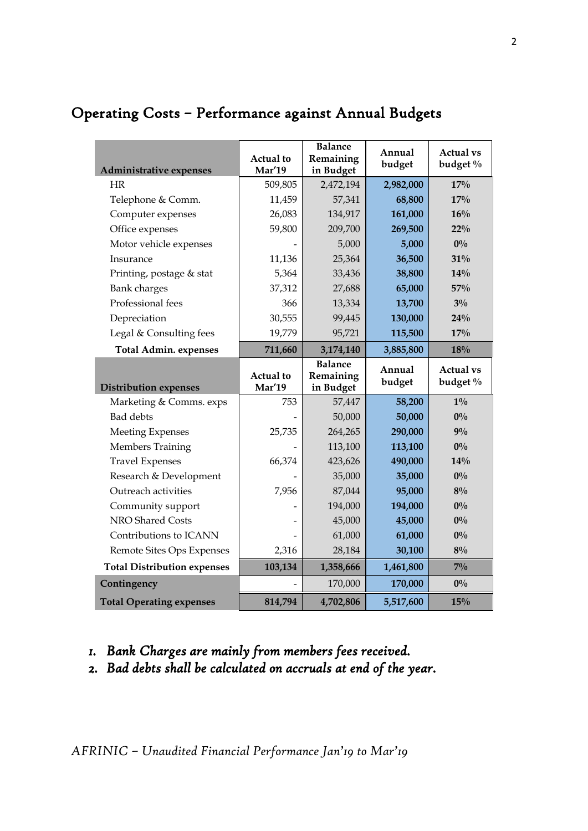| <b>Administrative expenses</b>     | Actual to<br><b>Mar'19</b> | <b>Balance</b><br>Remaining<br>in Budget | Annual<br>budget | <b>Actual vs</b><br>budget % |
|------------------------------------|----------------------------|------------------------------------------|------------------|------------------------------|
| <b>HR</b>                          | 509,805                    | 2,472,194                                | 2,982,000        | 17%                          |
| Telephone & Comm.                  | 11,459                     | 57,341                                   | 68,800           | 17%                          |
| Computer expenses                  | 26,083                     | 134,917                                  | 161,000          | 16%                          |
| Office expenses                    | 59,800                     | 209,700                                  | 269,500          | $22\%$                       |
| Motor vehicle expenses             |                            | 5,000                                    | 5,000            | $0\%$                        |
| Insurance                          | 11,136                     | 25,364                                   | 36,500           | 31%                          |
| Printing, postage & stat           | 5,364                      | 33,436                                   | 38,800           | 14%                          |
| <b>Bank</b> charges                | 37,312                     | 27,688                                   | 65,000           | 57%                          |
| Professional fees                  | 366                        | 13,334                                   | 13,700           | $3\%$                        |
| Depreciation                       | 30,555                     | 99,445                                   | 130,000          | 24%                          |
| Legal & Consulting fees            | 19,779                     | 95,721                                   | 115,500          | 17%                          |
| <b>Total Admin. expenses</b>       | 711,660                    | 3,174,140                                | 3,885,800        | 18%                          |
|                                    | <b>Actual</b> to           | <b>Balance</b><br>Remaining              | Annual           | <b>Actual vs</b>             |
| <b>Distribution expenses</b>       | Mar'19                     | in Budget                                | budget           | budget %                     |
| Marketing & Comms. exps            | 753                        | 57,447                                   | 58,200           | $1\%$                        |
| <b>Bad</b> debts                   |                            | 50,000                                   | 50,000           | $0\%$                        |
| <b>Meeting Expenses</b>            | 25,735                     | 264,265                                  | 290,000          | 9%                           |
| <b>Members Training</b>            |                            | 113,100                                  | 113,100          | $0\%$                        |
| <b>Travel Expenses</b>             | 66,374                     | 423,626                                  | 490,000          | 14%                          |
| Research & Development             |                            | 35,000                                   | 35,000           | $0\%$                        |
| Outreach activities                | 7,956                      | 87,044                                   | 95,000           | $8\%$                        |
| Community support                  |                            | 194,000                                  | 194,000          | $0\%$                        |
| NRO Shared Costs                   |                            | 45,000                                   | 45,000           | $0\%$                        |
| Contributions to ICANN             |                            | 61,000                                   | 61,000           | $0\%$                        |
| Remote Sites Ops Expenses          | 2,316                      | 28,184                                   | 30,100           | $8\%$                        |
| <b>Total Distribution expenses</b> | 103,134                    | 1,358,666                                | 1,461,800        | $7\%$                        |
| Contingency                        |                            | 170,000                                  | 170,000          | $0\%$                        |

# Operating Costs – Performance against Annual Budgets

#### *1. Bank Charges are mainly from members fees received.*

*2. Bad debts shall be calculated on accruals at end of the year.*